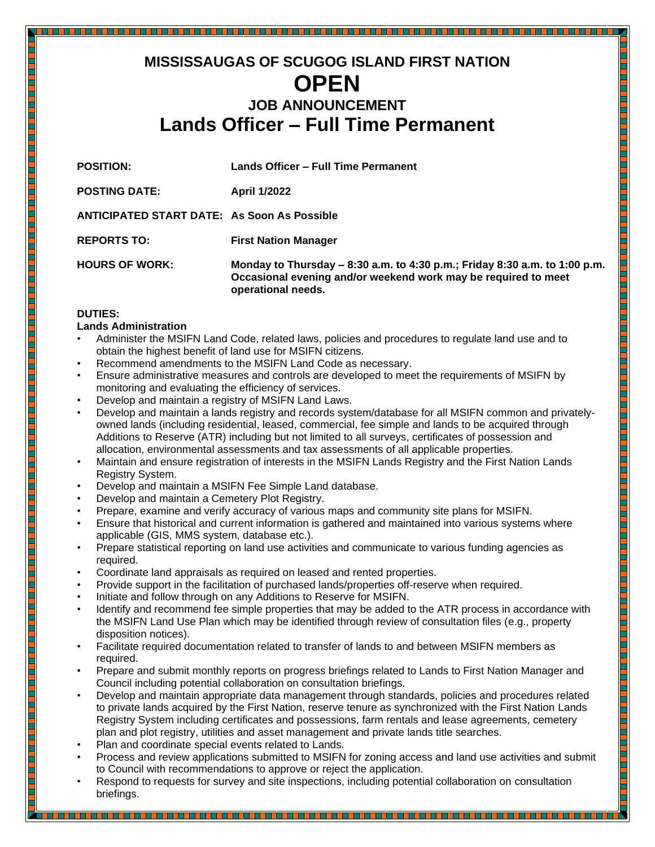# **MISSISSAUGAS OF SCUGOG ISLAND FIRST NATION OPEN JOB ANNOUNCEMENT Lands Officer – Full Time Permanent**

| <b>POSITION:</b>                                   | <b>Lands Officer - Full Time Permanent</b>                                                                                                                         |
|----------------------------------------------------|--------------------------------------------------------------------------------------------------------------------------------------------------------------------|
| <b>POSTING DATE:</b>                               | <b>April 1/2022</b>                                                                                                                                                |
| <b>ANTICIPATED START DATE: As Soon As Possible</b> |                                                                                                                                                                    |
| <b>REPORTS TO:</b>                                 | <b>First Nation Manager</b>                                                                                                                                        |
| <b>HOURS OF WORK:</b>                              | Monday to Thursday - 8:30 a.m. to 4:30 p.m.; Friday 8:30 a.m. to 1:00 p.m.<br>Occasional evening and/or weekend work may be required to meet<br>operational needs. |

## **DUTIES:**

## **Lands Administration**

- Administer the MSIFN Land Code, related laws, policies and procedures to regulate land use and to obtain the highest benefit of land use for MSIFN citizens.
- Recommend amendments to the MSIFN Land Code as necessary.
- Ensure administrative measures and controls are developed to meet the requirements of MSIFN by monitoring and evaluating the efficiency of services.
- Develop and maintain a registry of MSIFN Land Laws.
- Develop and maintain a lands registry and records system/database for all MSIFN common and privatelyowned lands (including residential, leased, commercial, fee simple and lands to be acquired through Additions to Reserve (ATR) including but not limited to all surveys, certificates of possession and allocation, environmental assessments and tax assessments of all applicable properties.

<u> 1989 - Primeira Antonio Antonio Antonio Antonio Antonio Antonio Antonio Antonio Antonio Antonio Antonio Anton</u>

- Maintain and ensure registration of interests in the MSIFN Lands Registry and the First Nation Lands Registry System.
- Develop and maintain a MSIFN Fee Simple Land database.
- Develop and maintain a Cemetery Plot Registry.
- Prepare, examine and verify accuracy of various maps and community site plans for MSIFN.
- Ensure that historical and current information is gathered and maintained into various systems where applicable (GIS, MMS system, database etc.).
- Prepare statistical reporting on land use activities and communicate to various funding agencies as required.
- Coordinate land appraisals as required on leased and rented properties.
- Provide support in the facilitation of purchased lands/properties off-reserve when required.
- Initiate and follow through on any Additions to Reserve for MSIFN.
- Identify and recommend fee simple properties that may be added to the ATR process in accordance with the MSIFN Land Use Plan which may be identified through review of consultation files (e.g., property disposition notices).
- Facilitate required documentation related to transfer of lands to and between MSIFN members as required.
- Prepare and submit monthly reports on progress briefings related to Lands to First Nation Manager and Council including potential collaboration on consultation briefings.
- Develop and maintain appropriate data management through standards, policies and procedures related to private lands acquired by the First Nation, reserve tenure as synchronized with the First Nation Lands Registry System including certificates and possessions, farm rentals and lease agreements, cemetery plan and plot registry, utilities and asset management and private lands title searches.
- Plan and coordinate special events related to Lands.
- Process and review applications submitted to MSIFN for zoning access and land use activities and submit to Council with recommendations to approve or reject the application.
- Respond to requests for survey and site inspections, including potential collaboration on consultation briefings.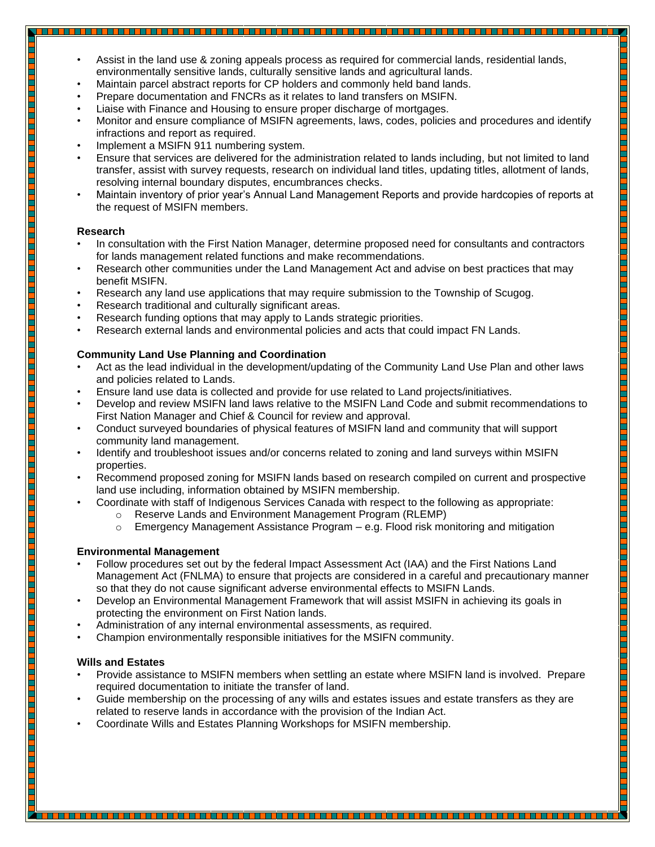- Assist in the land use & zoning appeals process as required for commercial lands, residential lands, environmentally sensitive lands, culturally sensitive lands and agricultural lands.
- Maintain parcel abstract reports for CP holders and commonly held band lands.
- Prepare documentation and FNCRs as it relates to land transfers on MSIFN.
- Liaise with Finance and Housing to ensure proper discharge of mortgages.
- Monitor and ensure compliance of MSIFN agreements, laws, codes, policies and procedures and identify infractions and report as required.
- Implement a MSIFN 911 numbering system.

- Ensure that services are delivered for the administration related to lands including, but not limited to land transfer, assist with survey requests, research on individual land titles, updating titles, allotment of lands, resolving internal boundary disputes, encumbrances checks.
- Maintain inventory of prior year's Annual Land Management Reports and provide hardcopies of reports at the request of MSIFN members.

<u>TIM DE LA PERSONA DE LA PROPIETA DE LA PROPIETA DE LA PORTE DE LA PORTE DE LA PORTE DE LA PORTE DE LA PORTE D</u>

<u> Biling and a billing and a billion of the state of the state of the state of the state of the state of the sta</u>

#### **Research**

- In consultation with the First Nation Manager, determine proposed need for consultants and contractors for lands management related functions and make recommendations.
- Research other communities under the Land Management Act and advise on best practices that may benefit MSIFN.
- Research any land use applications that may require submission to the Township of Scugog.
- Research traditional and culturally significant areas.
- Research funding options that may apply to Lands strategic priorities.
- Research external lands and environmental policies and acts that could impact FN Lands.

## **Community Land Use Planning and Coordination**

- Act as the lead individual in the development/updating of the Community Land Use Plan and other laws and policies related to Lands.
- Ensure land use data is collected and provide for use related to Land projects/initiatives.
- Develop and review MSIFN land laws relative to the MSIFN Land Code and submit recommendations to First Nation Manager and Chief & Council for review and approval.
- Conduct surveyed boundaries of physical features of MSIFN land and community that will support community land management.
- Identify and troubleshoot issues and/or concerns related to zoning and land surveys within MSIFN properties.
- Recommend proposed zoning for MSIFN lands based on research compiled on current and prospective land use including, information obtained by MSIFN membership.
- Coordinate with staff of Indigenous Services Canada with respect to the following as appropriate:
	- o Reserve Lands and Environment Management Program (RLEMP)
		- $\circ$  Emergency Management Assistance Program e.g. Flood risk monitoring and mitigation

#### **Environmental Management**

- Follow procedures set out by the federal Impact Assessment Act (IAA) and the First Nations Land Management Act (FNLMA) to ensure that projects are considered in a careful and precautionary manner so that they do not cause significant adverse environmental effects to MSIFN Lands.
- Develop an Environmental Management Framework that will assist MSIFN in achieving its goals in protecting the environment on First Nation lands.
- Administration of any internal environmental assessments, as required.
- Champion environmentally responsible initiatives for the MSIFN community.

#### **Wills and Estates**

- Provide assistance to MSIFN members when settling an estate where MSIFN land is involved. Prepare required documentation to initiate the transfer of land.
- Guide membership on the processing of any wills and estates issues and estate transfers as they are related to reserve lands in accordance with the provision of the Indian Act.

• Coordinate Wills and Estates Planning Workshops for MSIFN membership.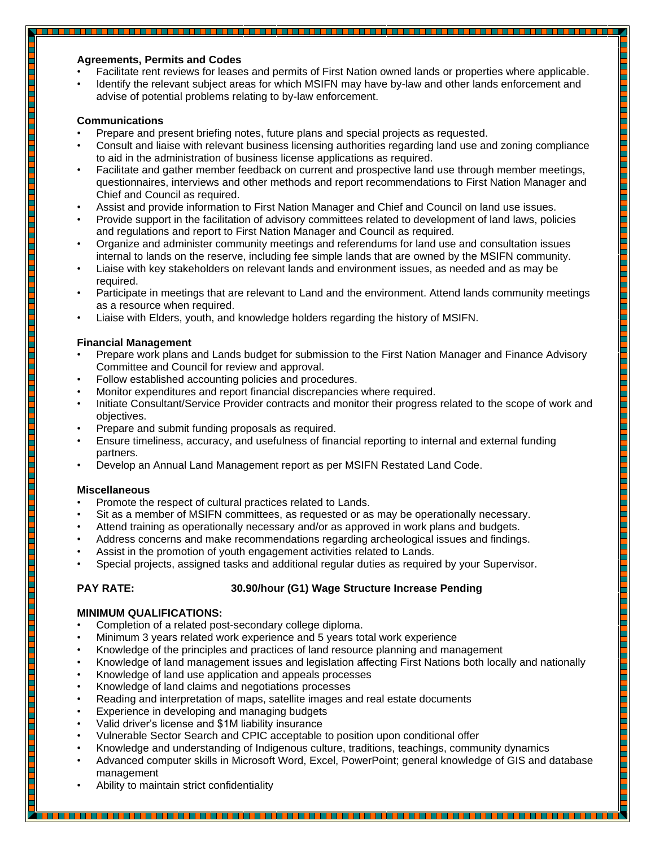#### **Agreements, Permits and Codes**

• Facilitate rent reviews for leases and permits of First Nation owned lands or properties where applicable.

• Identify the relevant subject areas for which MSIFN may have by-law and other lands enforcement and advise of potential problems relating to by-law enforcement.

#### **Communications**

- Prepare and present briefing notes, future plans and special projects as requested.
- Consult and liaise with relevant business licensing authorities regarding land use and zoning compliance to aid in the administration of business license applications as required.
- Facilitate and gather member feedback on current and prospective land use through member meetings, questionnaires, interviews and other methods and report recommendations to First Nation Manager and Chief and Council as required.
- Assist and provide information to First Nation Manager and Chief and Council on land use issues.
- Provide support in the facilitation of advisory committees related to development of land laws, policies and regulations and report to First Nation Manager and Council as required.
- Organize and administer community meetings and referendums for land use and consultation issues internal to lands on the reserve, including fee simple lands that are owned by the MSIFN community.
- Liaise with key stakeholders on relevant lands and environment issues, as needed and as may be required.
- Participate in meetings that are relevant to Land and the environment. Attend lands community meetings as a resource when required.

T THE LEVEL OF PLANT THE LEVEL OF THE LEVEL OF THE LEVEL OF THE LEVEL OF THE LEVEL OF THE LEVEL OF THE LEVEL

• Liaise with Elders, youth, and knowledge holders regarding the history of MSIFN.

#### **Financial Management**

- Prepare work plans and Lands budget for submission to the First Nation Manager and Finance Advisory Committee and Council for review and approval.
- Follow established accounting policies and procedures.
- Monitor expenditures and report financial discrepancies where required.
- Initiate Consultant/Service Provider contracts and monitor their progress related to the scope of work and objectives.
- Prepare and submit funding proposals as required.
- Ensure timeliness, accuracy, and usefulness of financial reporting to internal and external funding partners.
- Develop an Annual Land Management report as per MSIFN Restated Land Code.

#### **Miscellaneous**

- Promote the respect of cultural practices related to Lands.
- Sit as a member of MSIFN committees, as requested or as may be operationally necessary.
- Attend training as operationally necessary and/or as approved in work plans and budgets.
- Address concerns and make recommendations regarding archeological issues and findings.
- Assist in the promotion of youth engagement activities related to Lands.
- Special projects, assigned tasks and additional regular duties as required by your Supervisor.

## **PAY RATE: 30.90/hour (G1) Wage Structure Increase Pending**

#### **MINIMUM QUALIFICATIONS:**

- Completion of a related post-secondary college diploma.
- Minimum 3 years related work experience and 5 years total work experience
- Knowledge of the principles and practices of land resource planning and management
- Knowledge of land management issues and legislation affecting First Nations both locally and nationally
- Knowledge of land use application and appeals processes
- Knowledge of land claims and negotiations processes
- Reading and interpretation of maps, satellite images and real estate documents
- Experience in developing and managing budgets
- Valid driver's license and \$1M liability insurance
- Vulnerable Sector Search and CPIC acceptable to position upon conditional offer
- Knowledge and understanding of Indigenous culture, traditions, teachings, community dynamics
- Advanced computer skills in Microsoft Word, Excel, PowerPoint; general knowledge of GIS and database management

• Ability to maintain strict confidentiality